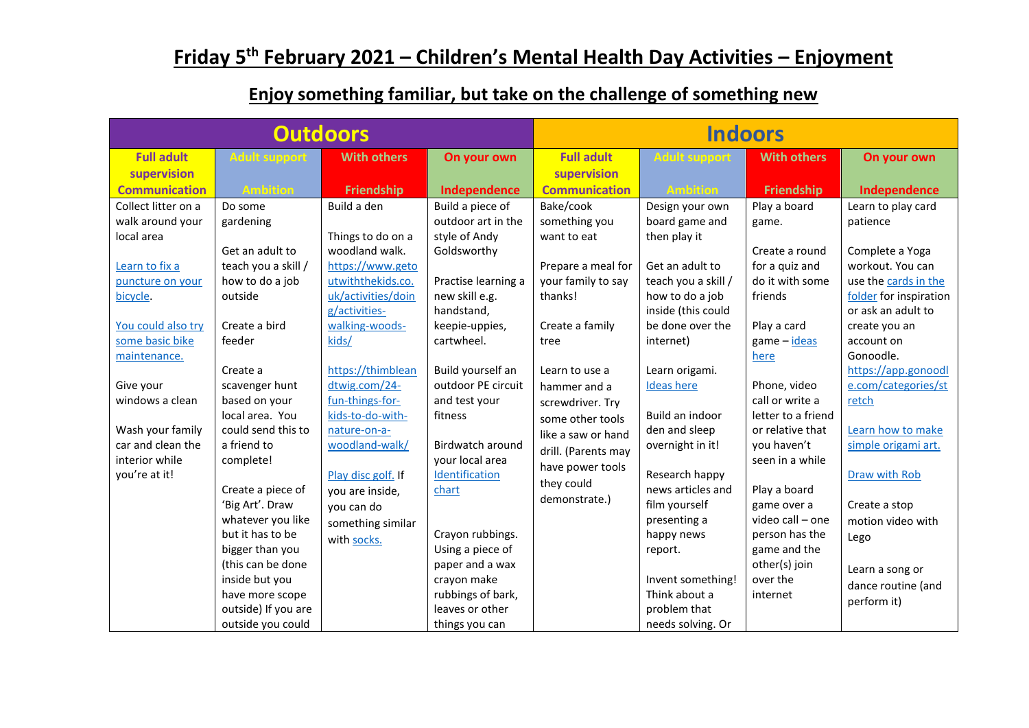## **Friday 5th February 2021 – Children's Mental Health Day Activities – Enjoyment**

| <b>Outdoors</b>                                                                                                                                  |                                                                                                                                                                                                                                                                                                                            |                                                                                                                                                                                                        | <b>Indoors</b>                                                                                                                                                                                                                                                                   |                                                                                                                                                                        |                                                                                                                                                                                                                                                                         |                                                                                                                                                                                                                                                   |                                                                                                                                                                                                                                     |
|--------------------------------------------------------------------------------------------------------------------------------------------------|----------------------------------------------------------------------------------------------------------------------------------------------------------------------------------------------------------------------------------------------------------------------------------------------------------------------------|--------------------------------------------------------------------------------------------------------------------------------------------------------------------------------------------------------|----------------------------------------------------------------------------------------------------------------------------------------------------------------------------------------------------------------------------------------------------------------------------------|------------------------------------------------------------------------------------------------------------------------------------------------------------------------|-------------------------------------------------------------------------------------------------------------------------------------------------------------------------------------------------------------------------------------------------------------------------|---------------------------------------------------------------------------------------------------------------------------------------------------------------------------------------------------------------------------------------------------|-------------------------------------------------------------------------------------------------------------------------------------------------------------------------------------------------------------------------------------|
| <b>Full adult</b>                                                                                                                                | <b>Adult support</b>                                                                                                                                                                                                                                                                                                       | <b>With others</b>                                                                                                                                                                                     | On your own                                                                                                                                                                                                                                                                      | <b>Full adult</b>                                                                                                                                                      | <b>Adult support</b>                                                                                                                                                                                                                                                    | <b>With others</b>                                                                                                                                                                                                                                | On your own                                                                                                                                                                                                                         |
| supervision                                                                                                                                      |                                                                                                                                                                                                                                                                                                                            |                                                                                                                                                                                                        |                                                                                                                                                                                                                                                                                  | supervision                                                                                                                                                            |                                                                                                                                                                                                                                                                         |                                                                                                                                                                                                                                                   |                                                                                                                                                                                                                                     |
| <b>Communication</b>                                                                                                                             | <b>Ambition</b>                                                                                                                                                                                                                                                                                                            | <b>Friendship</b>                                                                                                                                                                                      | Independence                                                                                                                                                                                                                                                                     | <b>Communication</b>                                                                                                                                                   | <b>Ambition</b>                                                                                                                                                                                                                                                         | <b>Friendship</b>                                                                                                                                                                                                                                 | Independence                                                                                                                                                                                                                        |
| Collect litter on a<br>walk around your<br>local area<br>Learn to fix a<br>puncture on your<br>bicycle.<br>You could also try<br>some basic bike | Do some<br>gardening<br>Get an adult to<br>teach you a skill /<br>how to do a job<br>outside<br>Create a bird<br>feeder                                                                                                                                                                                                    | Build a den<br>Things to do on a<br>woodland walk.<br>https://www.geto<br>utwiththekids.co.<br>uk/activities/doin<br>g/activities-<br>walking-woods-<br>kids/                                          | Build a piece of<br>outdoor art in the<br>style of Andy<br>Goldsworthy<br>Practise learning a<br>new skill e.g.<br>handstand,<br>keepie-uppies,<br>cartwheel.                                                                                                                    | Bake/cook<br>something you<br>want to eat<br>Prepare a meal for<br>your family to say<br>thanks!<br>Create a family<br>tree                                            | Design your own<br>board game and<br>then play it<br>Get an adult to<br>teach you a skill /<br>how to do a job<br>inside (this could<br>be done over the<br>internet)                                                                                                   | Play a board<br>game.<br>Create a round<br>for a quiz and<br>do it with some<br>friends<br>Play a card<br>game - ideas                                                                                                                            | Learn to play card<br>patience<br>Complete a Yoga<br>workout. You can<br>use the cards in the<br>folder for inspiration<br>or ask an adult to<br>create you an<br>account on                                                        |
| maintenance.<br>Give your<br>windows a clean<br>Wash your family<br>car and clean the<br>interior while<br>you're at it!                         | Create a<br>scavenger hunt<br>based on your<br>local area. You<br>could send this to<br>a friend to<br>complete!<br>Create a piece of<br>'Big Art'. Draw<br>whatever you like<br>but it has to be<br>bigger than you<br>(this can be done<br>inside but you<br>have more scope<br>outside) If you are<br>outside you could | https://thimblean<br>dtwig.com/24-<br>fun-things-for-<br>kids-to-do-with-<br>nature-on-a-<br>woodland-walk/<br>Play disc golf. If<br>you are inside,<br>you can do<br>something similar<br>with socks. | Build yourself an<br>outdoor PE circuit<br>and test your<br>fitness<br><b>Birdwatch around</b><br>your local area<br>Identification<br>chart<br>Crayon rubbings.<br>Using a piece of<br>paper and a wax<br>crayon make<br>rubbings of bark,<br>leaves or other<br>things you can | Learn to use a<br>hammer and a<br>screwdriver. Try<br>some other tools<br>like a saw or hand<br>drill. (Parents may<br>have power tools<br>they could<br>demonstrate.) | Learn origami.<br><b>Ideas here</b><br>Build an indoor<br>den and sleep<br>overnight in it!<br>Research happy<br>news articles and<br>film yourself<br>presenting a<br>happy news<br>report.<br>Invent something!<br>Think about a<br>problem that<br>needs solving. Or | here<br>Phone, video<br>call or write a<br>letter to a friend<br>or relative that<br>you haven't<br>seen in a while<br>Play a board<br>game over a<br>video call - one<br>person has the<br>game and the<br>other(s) join<br>over the<br>internet | Gonoodle.<br>https://app.gonoodl<br>e.com/categories/st<br>retch<br>Learn how to make<br>simple origami art.<br>Draw with Rob<br>Create a stop<br>motion video with<br>Lego<br>Learn a song or<br>dance routine (and<br>perform it) |

## **Enjoy something familiar, but take on the challenge of something new**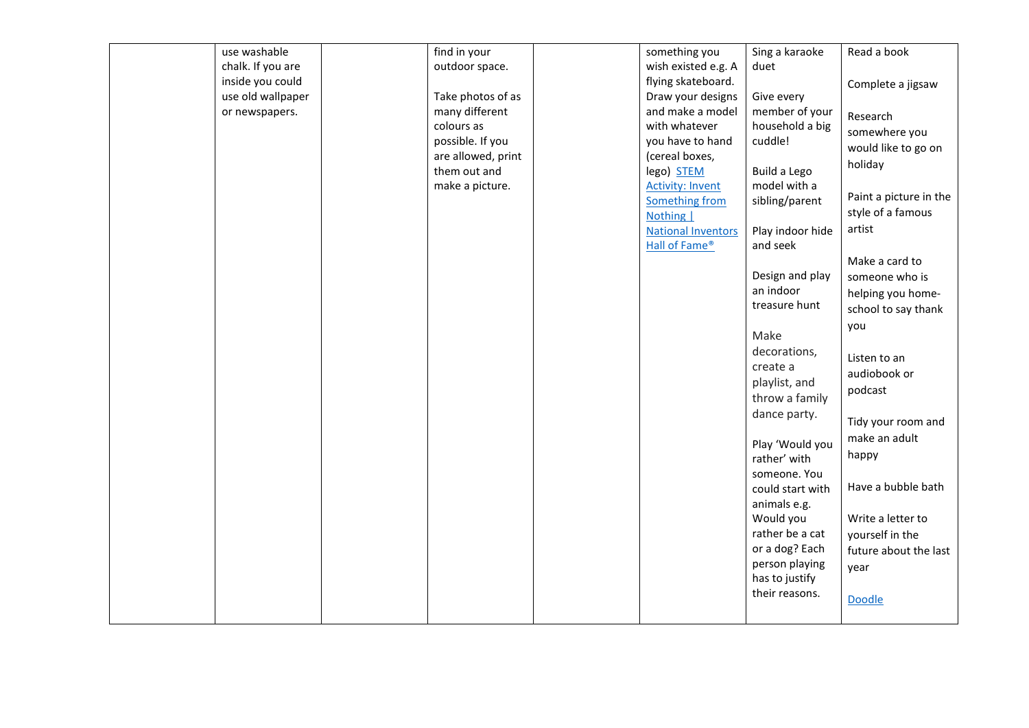| use washable      | find in your       | something you             | Sing a karaoke   | Read a book            |
|-------------------|--------------------|---------------------------|------------------|------------------------|
| chalk. If you are | outdoor space.     | wish existed e.g. A       | duet             |                        |
| inside you could  |                    | flying skateboard.        |                  | Complete a jigsaw      |
| use old wallpaper | Take photos of as  | Draw your designs         | Give every       |                        |
| or newspapers.    | many different     | and make a model          | member of your   | Research               |
|                   | colours as         | with whatever             | household a big  | somewhere you          |
|                   | possible. If you   | you have to hand          | cuddle!          |                        |
|                   | are allowed, print | (cereal boxes,            |                  | would like to go on    |
|                   | them out and       | lego) STEM                | Build a Lego     | holiday                |
|                   | make a picture.    | <b>Activity: Invent</b>   | model with a     |                        |
|                   |                    | Something from            | sibling/parent   | Paint a picture in the |
|                   |                    | Nothing                   |                  | style of a famous      |
|                   |                    | <b>National Inventors</b> | Play indoor hide | artist                 |
|                   |                    | Hall of Fame®             | and seek         |                        |
|                   |                    |                           |                  | Make a card to         |
|                   |                    |                           | Design and play  | someone who is         |
|                   |                    |                           | an indoor        | helping you home-      |
|                   |                    |                           | treasure hunt    | school to say thank    |
|                   |                    |                           |                  | you                    |
|                   |                    |                           | Make             |                        |
|                   |                    |                           | decorations,     |                        |
|                   |                    |                           | create a         | Listen to an           |
|                   |                    |                           | playlist, and    | audiobook or           |
|                   |                    |                           | throw a family   | podcast                |
|                   |                    |                           | dance party.     |                        |
|                   |                    |                           |                  | Tidy your room and     |
|                   |                    |                           | Play 'Would you  | make an adult          |
|                   |                    |                           | rather' with     | happy                  |
|                   |                    |                           | someone. You     |                        |
|                   |                    |                           | could start with | Have a bubble bath     |
|                   |                    |                           | animals e.g.     |                        |
|                   |                    |                           | Would you        | Write a letter to      |
|                   |                    |                           | rather be a cat  | yourself in the        |
|                   |                    |                           | or a dog? Each   |                        |
|                   |                    |                           | person playing   | future about the last  |
|                   |                    |                           | has to justify   | year                   |
|                   |                    |                           | their reasons.   |                        |
|                   |                    |                           |                  | Doodle                 |
|                   |                    |                           |                  |                        |